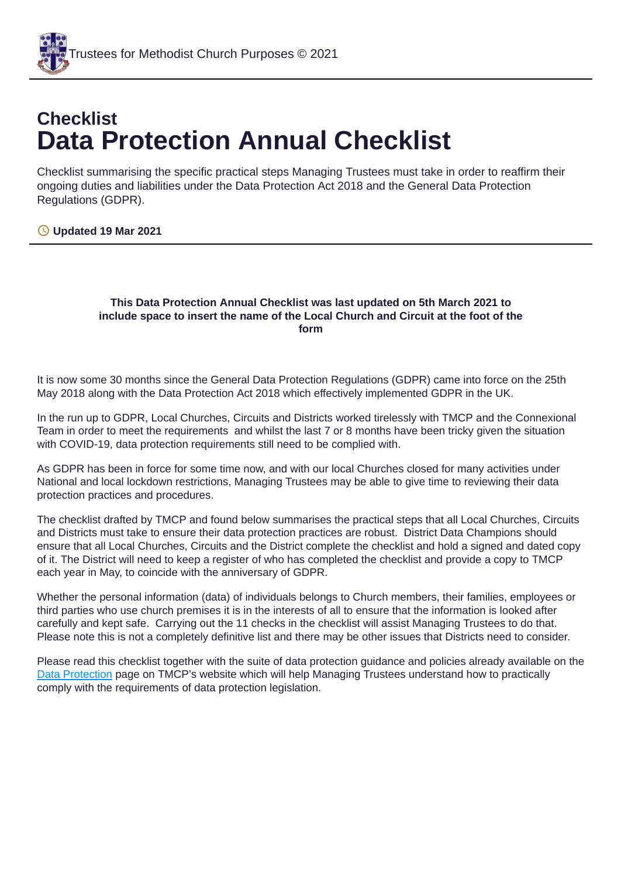

# **Checklist Data Protection Annual Checklist**

Checklist summarising the specific practical steps Managing Trustees must take in order to reaffirm their ongoing duties and liabilities under the Data Protection Act 2018 and the General Data Protection Regulations (GDPR).

#### **Updated 19 Mar 2021**

#### **This Data Protection Annual Checklist was last updated on 5th March 2021 to include space to insert the name of the Local Church and Circuit at the foot of the form**

It is now some 30 months since the General Data Protection Regulations (GDPR) came into force on the 25th May 2018 along with the Data Protection Act 2018 which effectively implemented GDPR in the UK.

In the run up to GDPR, Local Churches, Circuits and Districts worked tirelessly with TMCP and the Connexional Team in order to meet the requirements and whilst the last 7 or 8 months have been tricky given the situation with COVID-19, data protection requirements still need to be complied with.

As GDPR has been in force for some time now, and with our local Churches closed for many activities under National and local lockdown restrictions, Managing Trustees may be able to give time to reviewing their data protection practices and procedures.

The checklist drafted by TMCP and found below summarises the practical steps that all Local Churches, Circuits and Districts must take to ensure their data protection practices are robust. District Data Champions should ensure that all Local Churches, Circuits and the District complete the checklist and hold a signed and dated copy of it. The District will need to keep a register of who has completed the checklist and provide a copy to TMCP each year in May, to coincide with the anniversary of GDPR.

Whether the personal information (data) of individuals belongs to Church members, their families, employees or third parties who use church premises it is in the interests of all to ensure that the information is looked after carefully and kept safe. Carrying out the 11 checks in the checklist will assist Managing Trustees to do that. Please note this is not a completely definitive list and there may be other issues that Districts need to consider.

Please read this checklist together with the suite of data protection guidance and policies already available on the Data [Protection](https://www.tmcp.org.uk/about/data-protection) page on TMCP's website which will help Managing Trustees understand how to practically comply with the requirements of data protection legislation.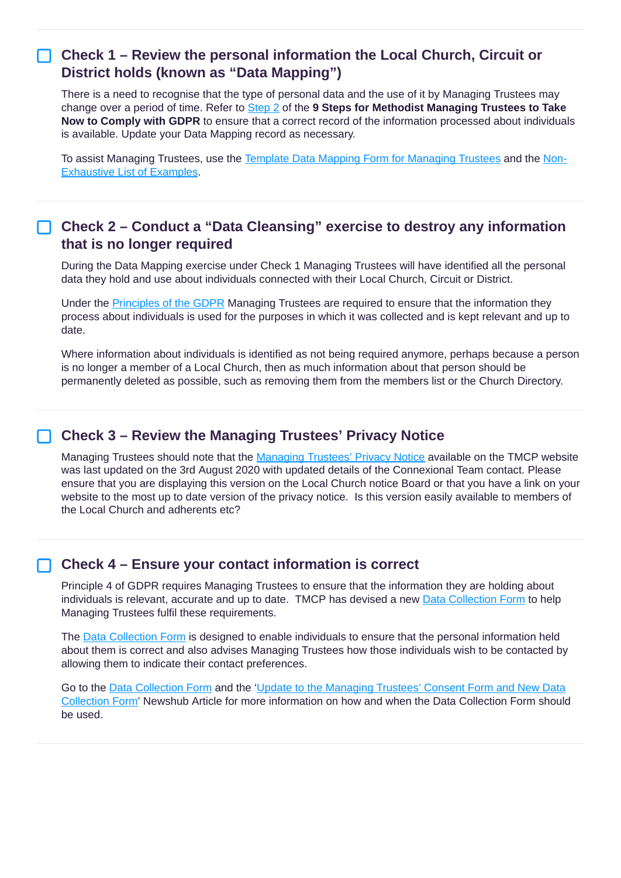#### **Check 1 – Review the personal information the Local Church, Circuit or District holds (known as "Data Mapping")**

There is a need to recognise that the type of personal data and the use of it by Managing Trustees may change over a period of time. Refer to [Step](https://www.tmcp.org.uk/about/data-protection/resources/guidenotes/9-steps-gdpr#2) 2 of the **9 Steps for Methodist Managing Trustees to Take Now to Comply with GDPR** to ensure that a correct record of the information processed about individuals is available. Update your Data Mapping record as necessary.

To assist Managing Trustees, use the Template Data Mapping Form for [Managing](https://www.tmcp.org.uk/about/data-protection/resources/standard-documents-and-forms/data-mapping-form) Trustees and the Non-[Exhaustive](https://www.tmcp.org.uk/kcfinder-uploads/files/data-mapping-examples.pdf) List of Examples.

#### **Check 2 – Conduct a "Data Cleansing" exercise to destroy any information that is no longer required**

During the Data Mapping exercise under Check 1 Managing Trustees will have identified all the personal data they hold and use about individuals connected with their Local Church, Circuit or District.

Under the **[Principles](https://www.tmcp.org.uk/about/data-protection/resources/guidenotes/gdpr#b) of the GDPR** Managing Trustees are required to ensure that the information they process about individuals is used for the purposes in which it was collected and is kept relevant and up to date.

Where information about individuals is identified as not being required anymore, perhaps because a person is no longer a member of a Local Church, then as much information about that person should be permanently deleted as possible, such as removing them from the members list or the Church Directory.

#### **Check 3 – Review the Managing Trustees' Privacy Notice**

[Managing](https://www.tmcp.org.uk/about/data-protection/managing-trustees-privacy-notice) Trustees should note that the Managing Trustees' Privacy Notice available on the TMCP website was last updated on the 3rd August 2020 with updated details of the Connexional Team contact. Please ensure that you are displaying this version on the Local Church notice Board or that you have a link on your website to the most up to date version of the privacy notice. Is this version easily available to members of the Local Church and adherents etc?

#### **Check 4 – Ensure your contact information is correct**

Principle 4 of GDPR requires Managing Trustees to ensure that the information they are holding about individuals is relevant, accurate and up to date. TMCP has devised a new Data Collection Form to help Managing Trustees fulfil these requirements.

The Data Collection Form is designed to enable individuals to ensure that the personal information held about them is correct and also advises Managing Trustees how those individuals wish to be contacted by allowing them to indicate their contact preferences.

Go to the Data Collection Form and the 'Update to the Managing Trustees' Consent Form and New Data Collection Form' Newshub Article for more [information](https://www.tmcp.org.uk/news-hub/update-to-the-managing-trustees-consent-form-and-a-new-data-collection-form) on how and when the Data Collection Form should be used.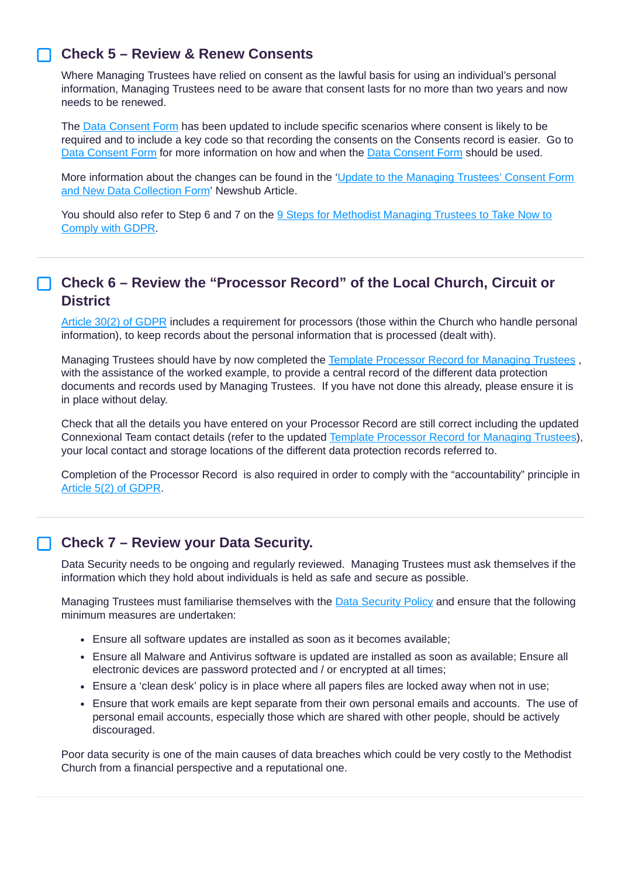#### **Check 5 – Review & Renew Consents**

Where Managing Trustees have relied on consent as the lawful basis for using an individual's personal information, Managing Trustees need to be aware that consent lasts for no more than two years and now needs to be renewed.

The Data [Consent](https://www.tmcp.org.uk/about/data-protection/resources/standard-documents-and-forms/consent-form) Form has been updated to include specific scenarios where consent is likely to be required and to include a key code so that recording the consents on the Consents record is easier. Go to Data [Consent](https://www.tmcp.org.uk/about/data-protection/resources/standard-documents-and-forms/consent-form) Form for more information on how and when the Data [Consent](https://www.tmcp.org.uk/about/data-protection/resources/standard-documents-and-forms/consent-form) Form should be used.

More information about the changes can be found in the 'Update to the Managing Trustees' Consent Form and New Data Collection Form' Newshub Article.

You should also refer to Step 6 and 7 on the 9 Steps for Methodist [Managing](https://www.tmcp.org.uk/about/data-protection/resources/guidenotes/9-steps-gdpr) Trustees to Take Now to Comply with GDPR.

## **Check 6 – Review the "Processor Record" of the Local Church, Circuit or District**

Article 30(2) of [GDPR](https://gdpr-info.eu/art-30-gdpr/) includes a requirement for processors (those within the Church who handle personal information), to keep records about the personal information that is processed (dealt with).

Managing Trustees should have by now completed the Template [Processor](https://www.tmcp.org.uk/about/data-protection/resources/standard-documents-and-forms/processor-record) Record for Managing Trustees , with the assistance of the worked example, to provide a central record of the different data protection documents and records used by Managing Trustees. If you have not done this already, please ensure it is in place without delay.

Check that all the details you have entered on your Processor Record are still correct including the updated Connexional Team contact details (refer to the updated Template [Processor](https://www.tmcp.org.uk/about/data-protection/resources/standard-documents-and-forms/processor-record) Record for Managing Trustees), your local contact and storage locations of the different data protection records referred to.

Completion of the Processor Record is also required in order to comply with the "accountability" principle in Article 5(2) of [GDPR](https://gdpr-info.eu/art-5-gdpr/).

#### **Check 7 – Review your Data Security.**

Data Security needs to be ongoing and regularly reviewed. Managing Trustees must ask themselves if the information which they hold about individuals is held as safe and secure as possible.

Managing Trustees must familiarise themselves with the **Data [Security](https://www.tmcp.org.uk/about/data-protection/resources/trustee-documents/data-security-policy) Policy** and ensure that the following minimum measures are undertaken:

- Ensure all software updates are installed as soon as it becomes available;
- Ensure all Malware and Antivirus software is updated are installed as soon as available; Ensure all electronic devices are password protected and / or encrypted at all times;
- Ensure a 'clean desk' policy is in place where all papers files are locked away when not in use;
- Ensure that work emails are kept separate from their own personal emails and accounts. The use of personal email accounts, especially those which are shared with other people, should be actively discouraged.

Poor data security is one of the main causes of data breaches which could be very costly to the Methodist Church from a financial perspective and a reputational one.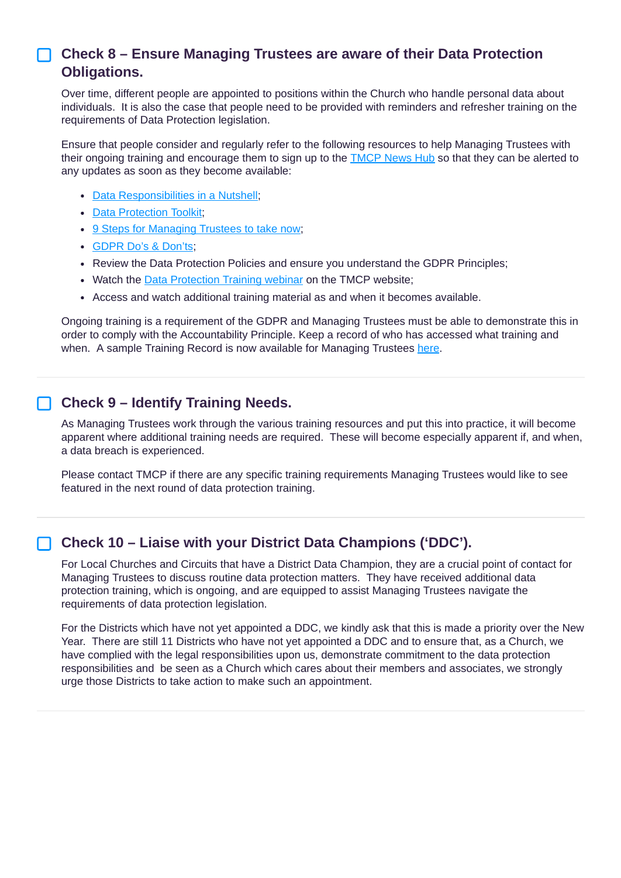# **Check 8 – Ensure Managing Trustees are aware of their Data Protection Obligations.**

Over time, different people are appointed to positions within the Church who handle personal data about individuals. It is also the case that people need to be provided with reminders and refresher training on the requirements of Data Protection legislation.

Ensure that people consider and regularly refer to the following resources to help Managing Trustees with their ongoing training and encourage them to sign up to the [TMCP](https://www.tmcp.org.uk/news-hub) News Hub so that they can be alerted to any updates as soon as they become available:

- Data [Responsibilities](https://www.tmcp.org.uk/news-hub/data-protection-responsibilities-in-a-nutshell) in a Nutshell:
- Data [Protection](https://www.tmcp.org.uk/news-hub/data-protection-toolkit) Toolkit:
- 9 Steps for [Managing](https://www.tmcp.org.uk/about/data-protection/resources/guidenotes/9-steps-gdpr) Trustees to take now;
- GDPR Do's & [Don'ts;](https://www.tmcp.org.uk/about/data-protection/resources/guidenotes/data-protection-dos-and-donts)
- Review the Data Protection Policies and ensure you understand the GDPR Principles;
- Watch the Data [Protection](https://www.tmcp.org.uk/about/data-protection/resources/videos) Training webinar on the TMCP website;
- Access and watch additional training material as and when it becomes available.

Ongoing training is a requirement of the GDPR and Managing Trustees must be able to demonstrate this in order to comply with the Accountability Principle. Keep a record of who has accessed what training and when. A sample Training Record is now available for Managing Trustees [here](https://www.tmcp.org.uk/kcfinder-uploads/files/data-protection-training-record.docx).

## **Check 9 – Identify Training Needs.**

As Managing Trustees work through the various training resources and put this into practice, it will become apparent where additional training needs are required. These will become especially apparent if, and when, a data breach is experienced.

Please contact TMCP if there are any specific training requirements Managing Trustees would like to see featured in the next round of data protection training.

# **Check 10 – Liaise with your District Data Champions ('DDC').**

For Local Churches and Circuits that have a District Data Champion, they are a crucial point of contact for Managing Trustees to discuss routine data protection matters. They have received additional data protection training, which is ongoing, and are equipped to assist Managing Trustees navigate the requirements of data protection legislation.

For the Districts which have not yet appointed a DDC, we kindly ask that this is made a priority over the New Year. There are still 11 Districts who have not yet appointed a DDC and to ensure that, as a Church, we have complied with the legal responsibilities upon us, demonstrate commitment to the data protection responsibilities and be seen as a Church which cares about their members and associates, we strongly urge those Districts to take action to make such an appointment.